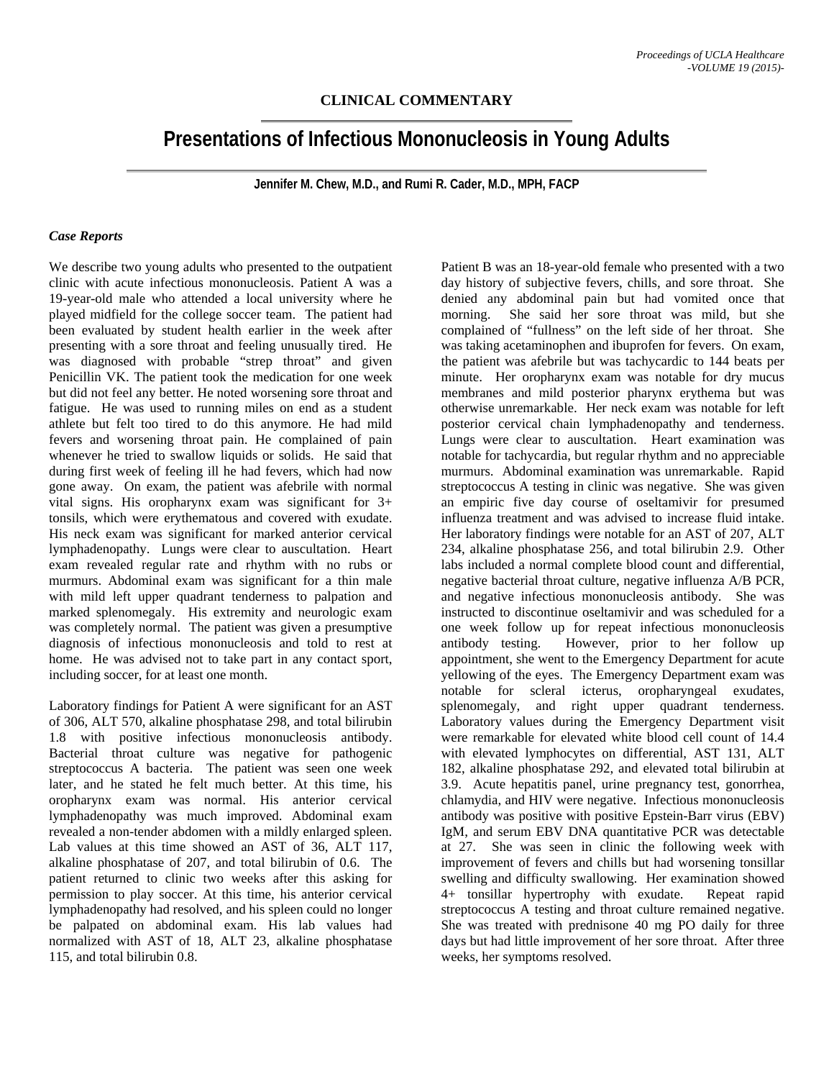## **CLINICAL COMMENTARY**

# **Presentations of Infectious Mononucleosis in Young Adults**

**Jennifer M. Chew, M.D., and Rumi R. Cader, M.D., MPH, FACP** 

#### *Case Reports*

We describe two young adults who presented to the outpatient clinic with acute infectious mononucleosis. Patient A was a 19-year-old male who attended a local university where he played midfield for the college soccer team. The patient had been evaluated by student health earlier in the week after presenting with a sore throat and feeling unusually tired. He was diagnosed with probable "strep throat" and given Penicillin VK. The patient took the medication for one week but did not feel any better. He noted worsening sore throat and fatigue. He was used to running miles on end as a student athlete but felt too tired to do this anymore. He had mild fevers and worsening throat pain. He complained of pain whenever he tried to swallow liquids or solids. He said that during first week of feeling ill he had fevers, which had now gone away. On exam, the patient was afebrile with normal vital signs. His oropharynx exam was significant for 3+ tonsils, which were erythematous and covered with exudate. His neck exam was significant for marked anterior cervical lymphadenopathy. Lungs were clear to auscultation. Heart exam revealed regular rate and rhythm with no rubs or murmurs. Abdominal exam was significant for a thin male with mild left upper quadrant tenderness to palpation and marked splenomegaly. His extremity and neurologic exam was completely normal. The patient was given a presumptive diagnosis of infectious mononucleosis and told to rest at home. He was advised not to take part in any contact sport, including soccer, for at least one month.

Laboratory findings for Patient A were significant for an AST of 306, ALT 570, alkaline phosphatase 298, and total bilirubin 1.8 with positive infectious mononucleosis antibody. Bacterial throat culture was negative for pathogenic streptococcus A bacteria. The patient was seen one week later, and he stated he felt much better. At this time, his oropharynx exam was normal. His anterior cervical lymphadenopathy was much improved. Abdominal exam revealed a non-tender abdomen with a mildly enlarged spleen. Lab values at this time showed an AST of 36, ALT 117, alkaline phosphatase of 207, and total bilirubin of 0.6. The patient returned to clinic two weeks after this asking for permission to play soccer. At this time, his anterior cervical lymphadenopathy had resolved, and his spleen could no longer be palpated on abdominal exam. His lab values had normalized with AST of 18, ALT 23, alkaline phosphatase 115, and total bilirubin 0.8.

Patient B was an 18-year-old female who presented with a two day history of subjective fevers, chills, and sore throat. She denied any abdominal pain but had vomited once that morning. She said her sore throat was mild, but she complained of "fullness" on the left side of her throat. She was taking acetaminophen and ibuprofen for fevers. On exam, the patient was afebrile but was tachycardic to 144 beats per minute. Her oropharynx exam was notable for dry mucus membranes and mild posterior pharynx erythema but was otherwise unremarkable. Her neck exam was notable for left posterior cervical chain lymphadenopathy and tenderness. Lungs were clear to auscultation. Heart examination was notable for tachycardia, but regular rhythm and no appreciable murmurs. Abdominal examination was unremarkable. Rapid streptococcus A testing in clinic was negative. She was given an empiric five day course of oseltamivir for presumed influenza treatment and was advised to increase fluid intake. Her laboratory findings were notable for an AST of 207, ALT 234, alkaline phosphatase 256, and total bilirubin 2.9. Other labs included a normal complete blood count and differential, negative bacterial throat culture, negative influenza A/B PCR, and negative infectious mononucleosis antibody. She was instructed to discontinue oseltamivir and was scheduled for a one week follow up for repeat infectious mononucleosis antibody testing. However, prior to her follow up appointment, she went to the Emergency Department for acute yellowing of the eyes. The Emergency Department exam was notable for scleral icterus, oropharyngeal exudates, splenomegaly, and right upper quadrant tenderness. Laboratory values during the Emergency Department visit were remarkable for elevated white blood cell count of 14.4 with elevated lymphocytes on differential, AST 131, ALT 182, alkaline phosphatase 292, and elevated total bilirubin at 3.9. Acute hepatitis panel, urine pregnancy test, gonorrhea, chlamydia, and HIV were negative. Infectious mononucleosis antibody was positive with positive Epstein-Barr virus (EBV) IgM, and serum EBV DNA quantitative PCR was detectable at 27. She was seen in clinic the following week with improvement of fevers and chills but had worsening tonsillar swelling and difficulty swallowing. Her examination showed 4+ tonsillar hypertrophy with exudate. Repeat rapid streptococcus A testing and throat culture remained negative. She was treated with prednisone 40 mg PO daily for three days but had little improvement of her sore throat. After three weeks, her symptoms resolved.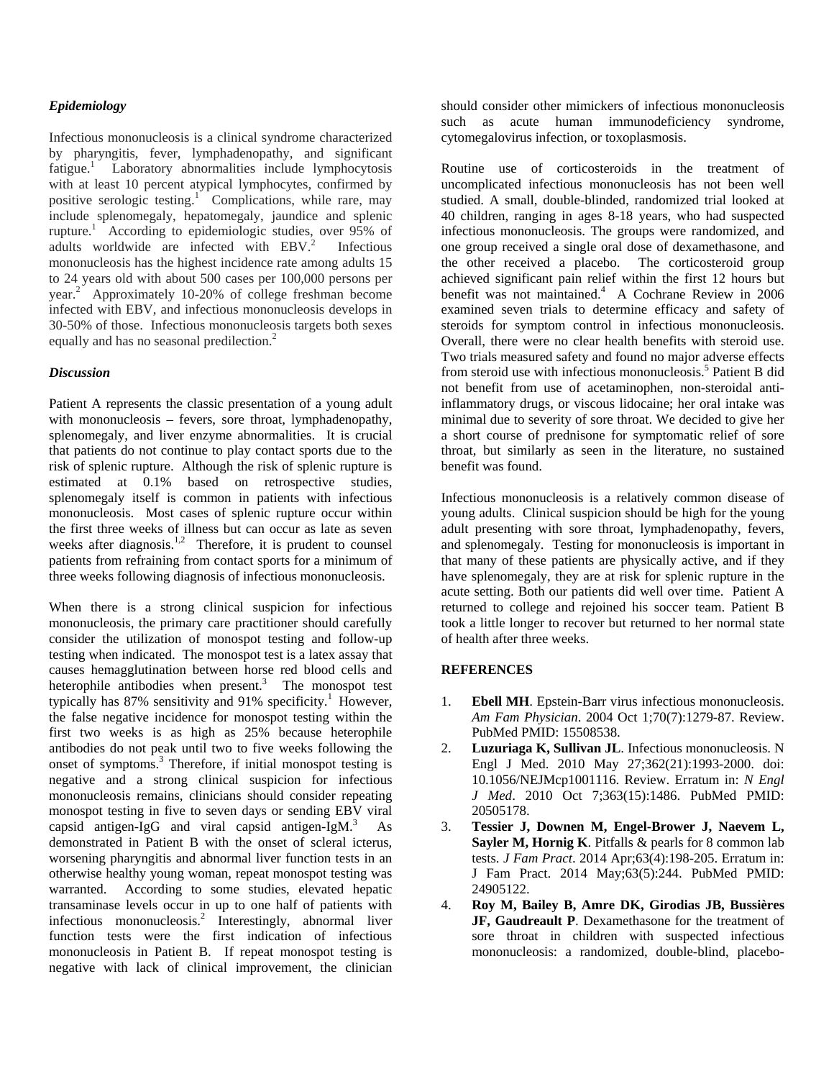## *Epidemiology*

Infectious mononucleosis is a clinical syndrome characterized by pharyngitis, fever, lymphadenopathy, and significant fatigue.<sup>1</sup> Laboratory abnormalities include lymphocytosis with at least 10 percent atypical lymphocytes, confirmed by positive serologic testing.<sup>1</sup> Complications, while rare, may include splenomegaly, hepatomegaly, jaundice and splenic rupture.<sup>1</sup> According to epidemiologic studies, over 95% of adults worldwide are infected with EBV.<sup>2</sup> Infectious mononucleosis has the highest incidence rate among adults 15 to 24 years old with about 500 cases per 100,000 persons per year.<sup>2</sup> Approximately 10-20% of college freshman become infected with EBV, and infectious mononucleosis develops in 30-50% of those. Infectious mononucleosis targets both sexes equally and has no seasonal predilection.<sup>2</sup>

## *Discussion*

Patient A represents the classic presentation of a young adult with mononucleosis – fevers, sore throat, lymphadenopathy, splenomegaly, and liver enzyme abnormalities. It is crucial that patients do not continue to play contact sports due to the risk of splenic rupture. Although the risk of splenic rupture is estimated at 0.1% based on retrospective studies, splenomegaly itself is common in patients with infectious mononucleosis. Most cases of splenic rupture occur within the first three weeks of illness but can occur as late as seven weeks after diagnosis.<sup>1,2</sup> Therefore, it is prudent to counsel patients from refraining from contact sports for a minimum of three weeks following diagnosis of infectious mononucleosis.

When there is a strong clinical suspicion for infectious mononucleosis, the primary care practitioner should carefully consider the utilization of monospot testing and follow-up testing when indicated. The monospot test is a latex assay that causes hemagglutination between horse red blood cells and heterophile antibodies when present. $3$  The monospot test typically has  $87\%$  sensitivity and  $91\%$  specificity.<sup>1</sup> However, the false negative incidence for monospot testing within the first two weeks is as high as 25% because heterophile antibodies do not peak until two to five weeks following the onset of symptoms.<sup>3</sup> Therefore, if initial monospot testing is negative and a strong clinical suspicion for infectious mononucleosis remains, clinicians should consider repeating monospot testing in five to seven days or sending EBV viral capsid antigen-IgG and viral capsid antigen-IgM. $3$  As demonstrated in Patient B with the onset of scleral icterus, worsening pharyngitis and abnormal liver function tests in an otherwise healthy young woman, repeat monospot testing was warranted. According to some studies, elevated hepatic transaminase levels occur in up to one half of patients with infectious mononucleosis.<sup>2</sup> Interestingly, abnormal liver function tests were the first indication of infectious mononucleosis in Patient B. If repeat monospot testing is negative with lack of clinical improvement, the clinician

should consider other mimickers of infectious mononucleosis such as acute human immunodeficiency syndrome, cytomegalovirus infection, or toxoplasmosis.

Routine use of corticosteroids in the treatment of uncomplicated infectious mononucleosis has not been well studied. A small, double-blinded, randomized trial looked at 40 children, ranging in ages 8-18 years, who had suspected infectious mononucleosis. The groups were randomized, and one group received a single oral dose of dexamethasone, and the other received a placebo. The corticosteroid group achieved significant pain relief within the first 12 hours but benefit was not maintained.<sup>4</sup> A Cochrane Review in 2006 examined seven trials to determine efficacy and safety of steroids for symptom control in infectious mononucleosis. Overall, there were no clear health benefits with steroid use. Two trials measured safety and found no major adverse effects from steroid use with infectious mononucleosis.<sup>5</sup> Patient B did not benefit from use of acetaminophen, non-steroidal antiinflammatory drugs, or viscous lidocaine; her oral intake was minimal due to severity of sore throat. We decided to give her a short course of prednisone for symptomatic relief of sore throat, but similarly as seen in the literature, no sustained benefit was found.

Infectious mononucleosis is a relatively common disease of young adults. Clinical suspicion should be high for the young adult presenting with sore throat, lymphadenopathy, fevers, and splenomegaly. Testing for mononucleosis is important in that many of these patients are physically active, and if they have splenomegaly, they are at risk for splenic rupture in the acute setting. Both our patients did well over time. Patient A returned to college and rejoined his soccer team. Patient B took a little longer to recover but returned to her normal state of health after three weeks.

## **REFERENCES**

- 1. **Ebell MH**. Epstein-Barr virus infectious mononucleosis. *Am Fam Physician*. 2004 Oct 1;70(7):1279-87. Review. PubMed PMID: 15508538.
- 2. **Luzuriaga K, Sullivan JL**. Infectious mononucleosis. N Engl J Med. 2010 May 27;362(21):1993-2000. doi: 10.1056/NEJMcp1001116. Review. Erratum in: *N Engl J Med*. 2010 Oct 7;363(15):1486. PubMed PMID: 20505178.
- 3. **Tessier J, Downen M, Engel-Brower J, Naevem L, Sayler M, Hornig K**. Pitfalls & pearls for 8 common lab tests. *J Fam Pract*. 2014 Apr;63(4):198-205. Erratum in: J Fam Pract. 2014 May;63(5):244. PubMed PMID: 24905122.
- 4. **Roy M, Bailey B, Amre DK, Girodias JB, Bussières JF, Gaudreault P**. Dexamethasone for the treatment of sore throat in children with suspected infectious mononucleosis: a randomized, double-blind, placebo-